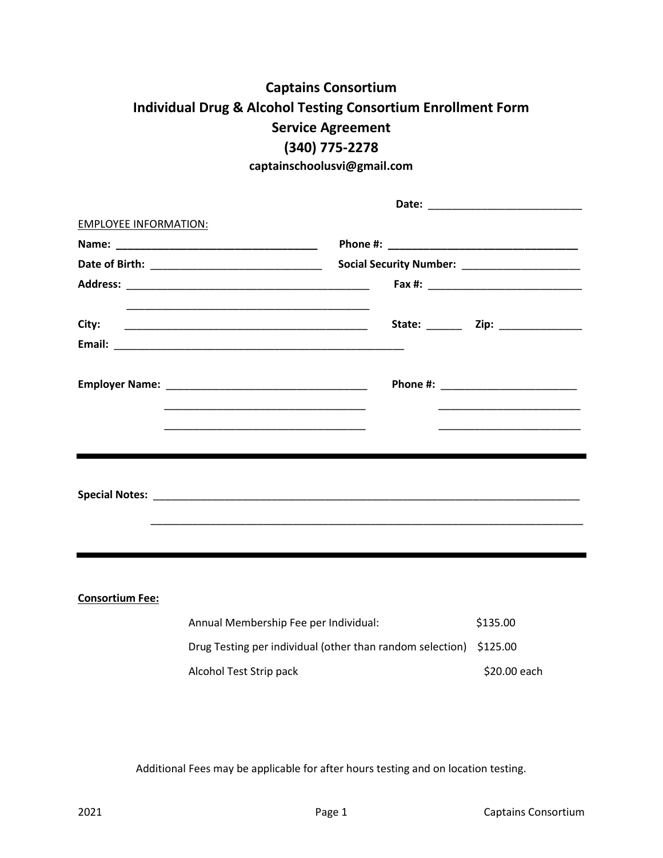# **Captains Consortium Individual Drug & Alcohol Testing Consortium Enrollment Form Service Agreement (340) 775-2278**

**captainschoolusvi@gmail.com**

| <b>EMPLOYEE INFORMATION:</b> |                                                           |                                   |
|------------------------------|-----------------------------------------------------------|-----------------------------------|
|                              |                                                           |                                   |
|                              |                                                           |                                   |
|                              |                                                           |                                   |
| City:                        |                                                           |                                   |
|                              |                                                           |                                   |
|                              |                                                           | Phone #: ________________________ |
|                              |                                                           |                                   |
|                              |                                                           |                                   |
|                              |                                                           |                                   |
|                              |                                                           |                                   |
|                              |                                                           |                                   |
| <b>Consortium Fee:</b>       |                                                           |                                   |
|                              | Annual Membership Fee per Individual:                     | \$135.00                          |
|                              | Drug Testing per individual (other than random selection) | \$125.00                          |
|                              | Alcohol Test Strip pack                                   | \$20.00 each                      |

Additional Fees may be applicable for after hours testing and on location testing.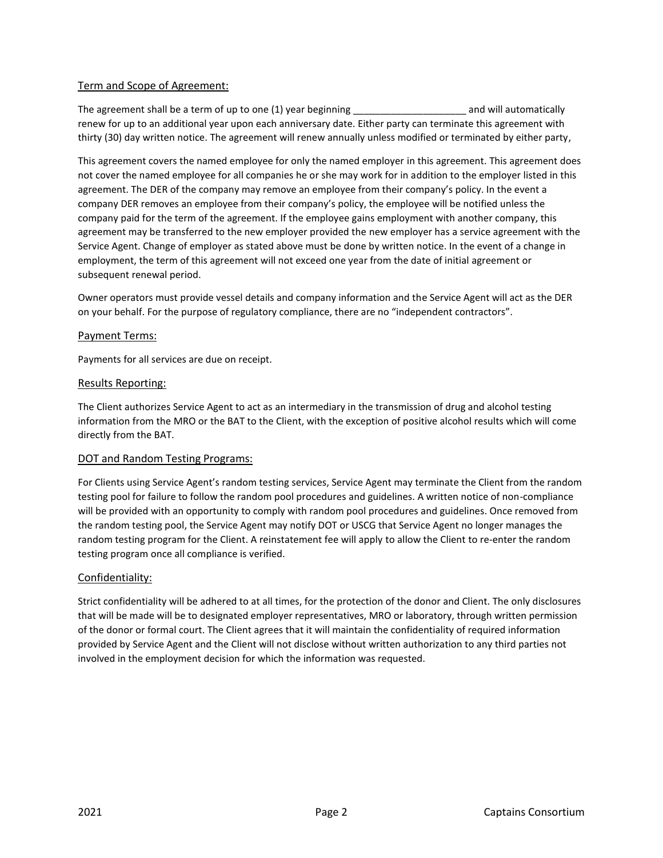# Term and Scope of Agreement:

The agreement shall be a term of up to one (1) year beginning example that the same variable and will automatically renew for up to an additional year upon each anniversary date. Either party can terminate this agreement with thirty (30) day written notice. The agreement will renew annually unless modified or terminated by either party,

This agreement covers the named employee for only the named employer in this agreement. This agreement does not cover the named employee for all companies he or she may work for in addition to the employer listed in this agreement. The DER of the company may remove an employee from their company's policy. In the event a company DER removes an employee from their company's policy, the employee will be notified unless the company paid for the term of the agreement. If the employee gains employment with another company, this agreement may be transferred to the new employer provided the new employer has a service agreement with the Service Agent. Change of employer as stated above must be done by written notice. In the event of a change in employment, the term of this agreement will not exceed one year from the date of initial agreement or subsequent renewal period.

Owner operators must provide vessel details and company information and the Service Agent will act as the DER on your behalf. For the purpose of regulatory compliance, there are no "independent contractors".

# Payment Terms:

Payments for all services are due on receipt.

#### Results Reporting:

The Client authorizes Service Agent to act as an intermediary in the transmission of drug and alcohol testing information from the MRO or the BAT to the Client, with the exception of positive alcohol results which will come directly from the BAT.

# DOT and Random Testing Programs:

For Clients using Service Agent's random testing services, Service Agent may terminate the Client from the random testing pool for failure to follow the random pool procedures and guidelines. A written notice of non-compliance will be provided with an opportunity to comply with random pool procedures and guidelines. Once removed from the random testing pool, the Service Agent may notify DOT or USCG that Service Agent no longer manages the random testing program for the Client. A reinstatement fee will apply to allow the Client to re-enter the random testing program once all compliance is verified.

# Confidentiality:

Strict confidentiality will be adhered to at all times, for the protection of the donor and Client. The only disclosures that will be made will be to designated employer representatives, MRO or laboratory, through written permission of the donor or formal court. The Client agrees that it will maintain the confidentiality of required information provided by Service Agent and the Client will not disclose without written authorization to any third parties not involved in the employment decision for which the information was requested.